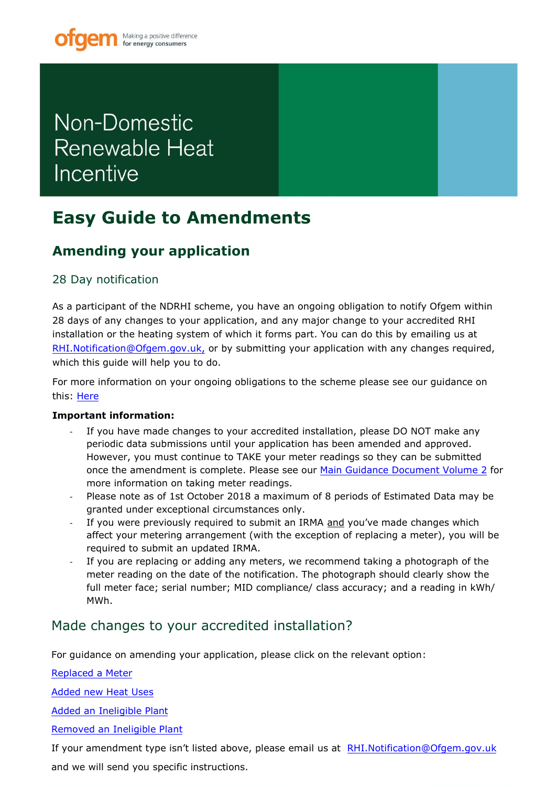# <span id="page-0-0"></span>Non-Domestic Renewable Heat Incentive

## **Easy Guide to Amendments**

## **Amending your application**

### 28 Day notification

As a participant of the NDRHI scheme, you have an ongoing obligation to notify Ofgem within 28 days of any changes to your application, and any major change to your accredited RHI installation or the heating system of which it forms part. You can do this by emailing us at RHI.Notification@Ofgem.gov.uk, or by submitting your application with any changes required, [which this guide will help you to](mailto:RHI.Notification@Ofgem.gov.uk) do.

For more information on your ongoing obligations to the scheme please see our guidance on this: Here

### **Imp[ortan](https://www.ofgem.gov.uk/publications-and-updates/non-domestic-rhi-main-guidance)t information:**

- If you have made changes to your accredited installation, please DO NOT make any periodic data submissions until your application has been amended and approved. However, you must continue to TAKE your meter readings so they can be submitted once the amendment is complete. Please see our [Main Guidance Document Volume 2](https://www.ofgem.gov.uk/publications-and-updates/non-domestic-rhi-main-guidance) for more information on taking meter readings.
- Please note as of 1st October 2018 a maximum of 8 periods of Estimated Data may be granted under exceptional circumstances only.
- If you were previously required to submit an IRMA and you've made changes which affect your metering arrangement (with the exception of replacing a meter), you will be required to submit an updated IRMA.
- If you are replacing or adding any meters, we recommend taking a photograph of the meter reading on the date of the notification. The photograph should clearly show the full meter face; serial number; MID compliance/ class accuracy; and a reading in kWh/ MWh.

### [Made changes to your accredited installation?](#page-1-0)

[For guidance on amending your application, please click on the relevant option:](#page-3-0) 

[Replaced a Meter](#page-8-0) 

[Added new Heat Uses](#page-10-0) 

Added an Ineligible Plant

Removed an Ineligible Plant

If your amendment type isn't listed above, please email us at RHI.Notification@Ofgem.gov.uk and we will send you specific instructions.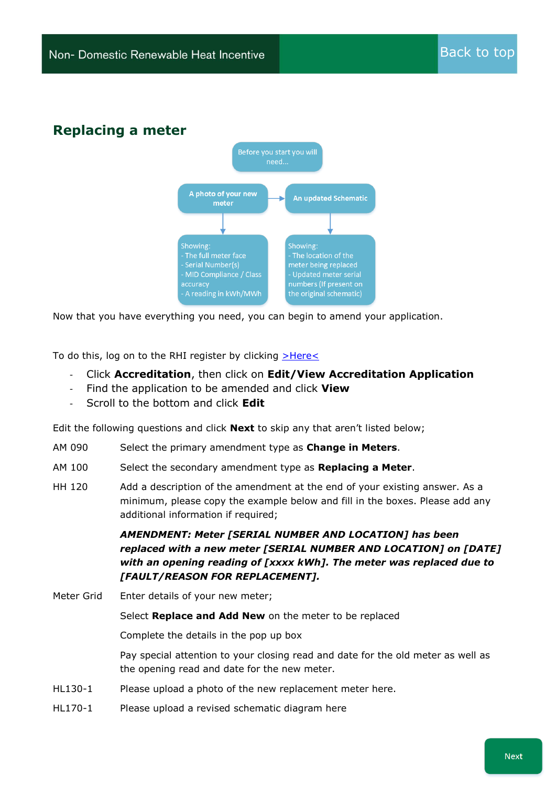### <span id="page-1-0"></span>**Replacing a meter**



Now that you have everything you need, you can begin to amend your application.

To do this, log on to the RHI register by clicking  $\geq$ Here $\leq$ 

- Click **Accreditation**, then click on **Edit/View Accreditation Application**
- Find the application to be amended and click **View**
- Scroll to the bottom and click **Edit**

Edit the following questions and click **Next** to skip any that aren't listed below;

- AM 090 Select the primary amendment type as **Change in Meters**.
- AM 100 Select the secondary amendment type as **Replacing a Meter**.
- HH 120 Add a description of the amendment at the end of your existing answer. As a minimum, please copy the example below and fill in the boxes. Please add any additional information if required;

*AMENDMENT: Meter [SERIAL NUMBER AND LOCATION] has been replaced with a new meter [SERIAL NUMBER AND LOCATION] on [DATE] with an opening reading of [xxxx kWh]. The meter was replaced due to [FAULT/REASON FOR REPLACEMENT].* 

Meter Grid Enter details of your new meter;

Select **Replace and Add New** on the meter to be replaced

Complete the details in the pop up box

Pay special attention to your closing read and date for the old meter as well as the opening read and date for the new meter.

- HL130-1 Please upload a photo of the new replacement meter here.
- HL170-1 Please upload a revised schematic diagram here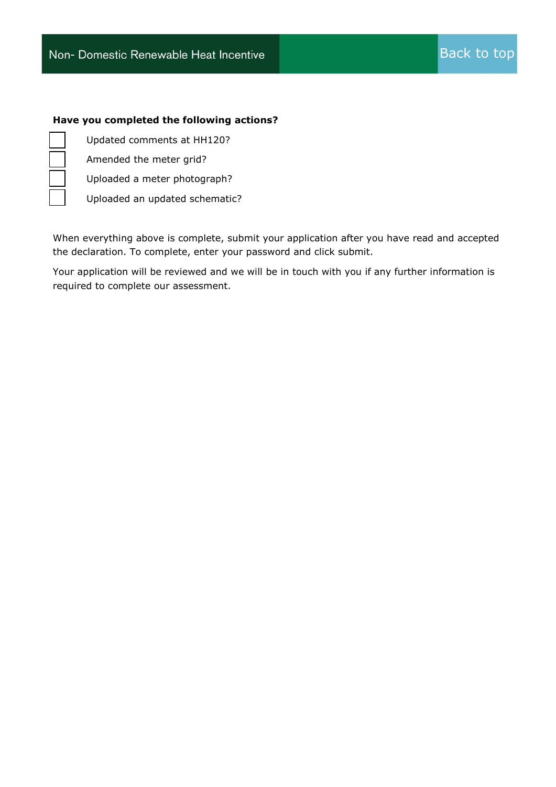#### **Have you completed the following actions?**

Updated comments at HH120?

Amended the meter grid?

Uploaded a meter photograph?

Uploaded an updated schematic?

When everything above is complete, submit your application after you have read and accepted the declaration. To complete, enter your password and click submit.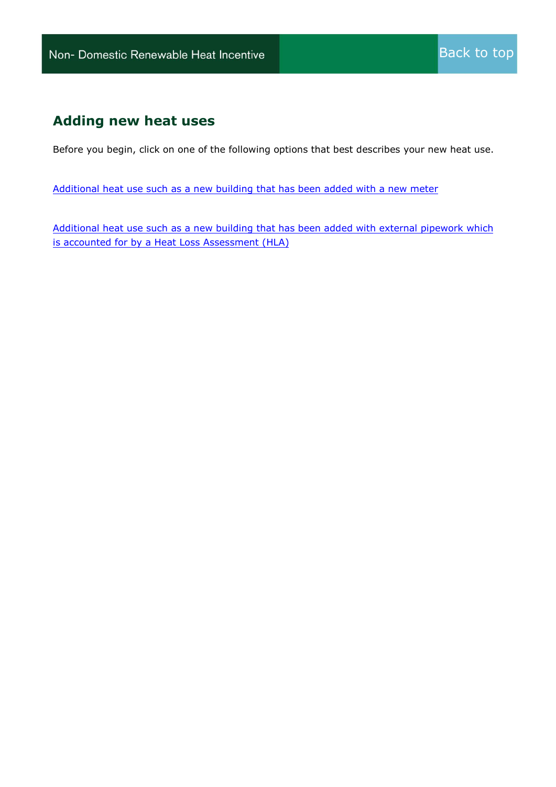### <span id="page-3-0"></span>**Adding new heat uses**

Before you begin, click on one of the following options that best describes your new heat use.

[Additional heat use such as a new building that has been added with a new meter](#page-4-0)

[Additional heat use such as a new building that has been added with external pipework which](#page-6-0)  [is accounted for by a Heat Loss Assessment \(HLA\)](#page-6-0)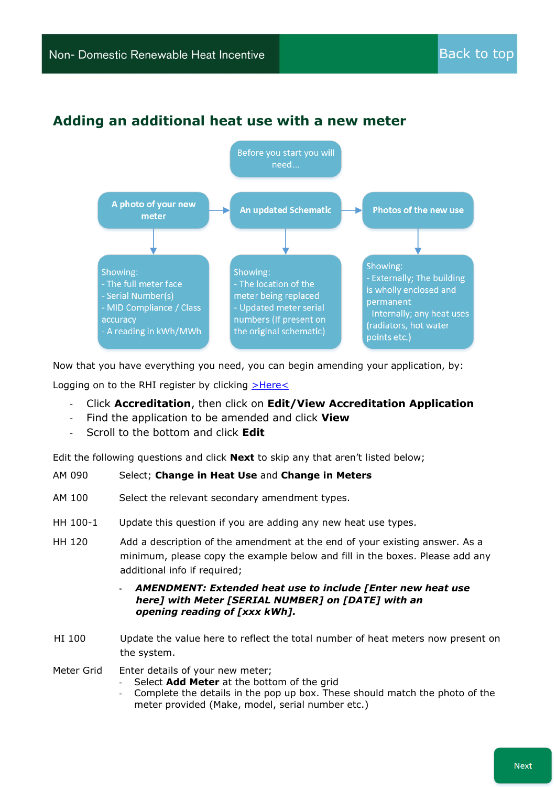### <span id="page-4-0"></span>**Adding an additional heat use with a new meter**



Now that you have everything you need, you can begin amending your application, by:

Logging on to the RHI register by clicking [>Here<](https://rhi.ofgem.gov.uk/)

- Click **Accreditation**, then click on **Edit/View Accreditation Application**
- Find the application to be amended and click **View**
- Scroll to the bottom and click **Edit**

Edit the following questions and click **Next** to skip any that aren't listed below;

#### AM 090 Select; **Change in Heat Use** and **Change in Meters**

- AM 100 Select the relevant secondary amendment types.
- HH 100-1 Update this question if you are adding any new heat use types.
- HH 120 Add a description of the amendment at the end of your existing answer. As a minimum, please copy the example below and fill in the boxes. Please add any additional info if required:

#### **-** *AMENDMENT: Extended heat use to include [Enter new heat use here] with Meter [SERIAL NUMBER] on [DATE] with an opening reading of [xxx kWh].*

HI 100 Update the value here to reflect the total number of heat meters now present on the system.

Meter Grid Enter details of your new meter;

- Select **Add Meter** at the bottom of the grid
- Complete the details in the pop up box. These should match the photo of the meter provided (Make, model, serial number etc.)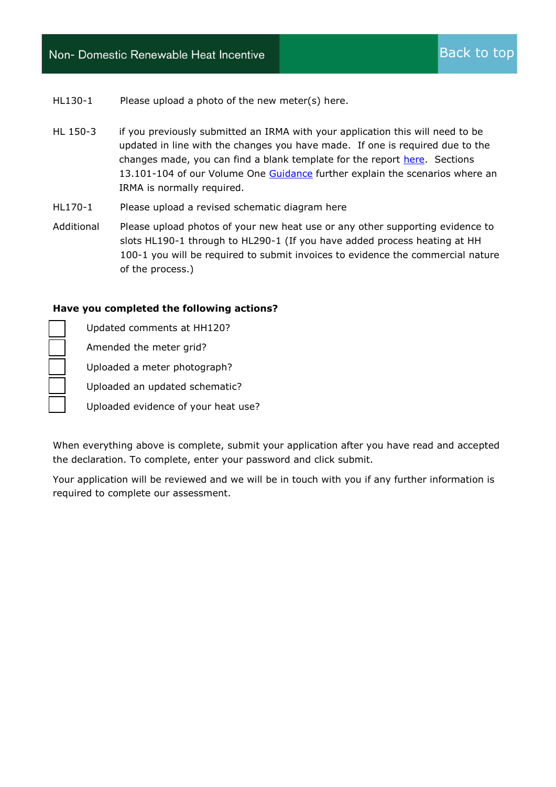HL130-1 Please upload a photo of the new meter(s) here.

- HL 150-3 if you previously submitted an IRMA with your application this will need to be updated in line with the changes you have made. If one is required due to the changes made, you can find a blank template for the report [here.](https://www.ofgem.gov.uk/publications-and-updates/non-domestic-renewable-heat-incentive-rhi-independent-report-metering-arrangements-template-pack-version-4-1) Sections 13.101-104 of our Volume One [Guidance](https://www.ofgem.gov.uk/system/files/docs/2016/11/guidance_volume_1_v9_sep_2016.pdf) further explain the scenarios where an IRMA is normally required.
- HL170-1 Please upload a revised schematic diagram here
- Additional Please upload photos of your new heat use or any other supporting evidence to slots HL190-1 through to HL290-1 (If you have added process heating at HH 100-1 you will be required to submit invoices to evidence the commercial nature of the process.)

#### **Have you completed the following actions?**

☒ Updated comments at HH120? ☒ Amended the meter grid? ☒ Uploaded a meter photograph? ☒ Uploaded an updated schematic? Uploaded evidence of your heat use?

When everything above is complete, submit your application after you have read and accepted the declaration. To complete, enter your password and click submit.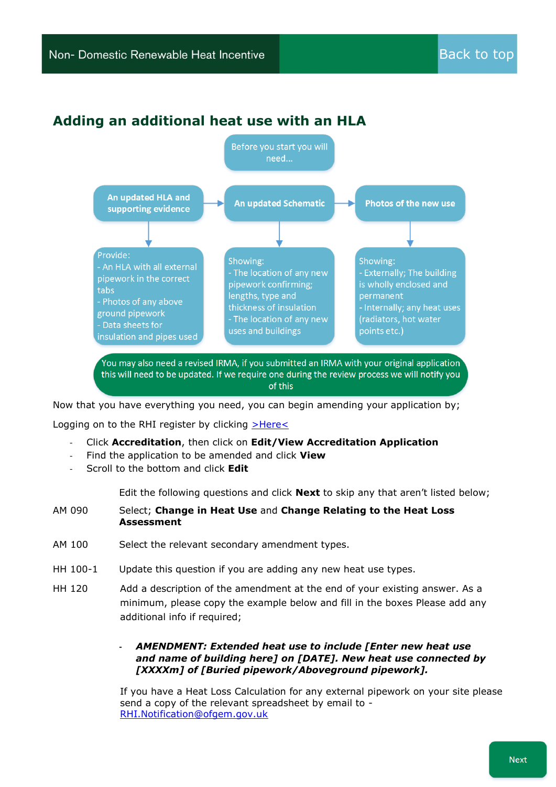### <span id="page-6-0"></span>**Adding an additional heat use with an HLA**



Now that you have everything you need, you can begin amending your application by;

Logging on to the RHI register by clicking [>Here<](https://rhi.ofgem.gov.uk/)

- Click **Accreditation**, then click on **Edit/View Accreditation Application**
- Find the application to be amended and click **View**
- Scroll to the bottom and click **Edit**

Edit the following questions and click **Next** to skip any that aren't listed below;

- AM 090 Select; **Change in Heat Use** and **Change Relating to the Heat Loss Assessment**
- AM 100 Select the relevant secondary amendment types.
- HH 100-1 Update this question if you are adding any new heat use types.
- HH 120 Add a description of the amendment at the end of your existing answer. As a minimum, please copy the example below and fill in the boxes Please add any additional info if required;

#### **-** *AMENDMENT: Extended heat use to include [Enter new heat use and name of building here] on [DATE]. New heat use connected by [XXXXm] of [Buried pipework/Aboveground pipework].*

If you have a Heat Loss Calculation for any external pipework on your site please send a copy of the relevant spreadsheet by email to - [RHI.Notification@ofgem.gov.uk](mailto:RHI.Notification@ofgem.gov.uk)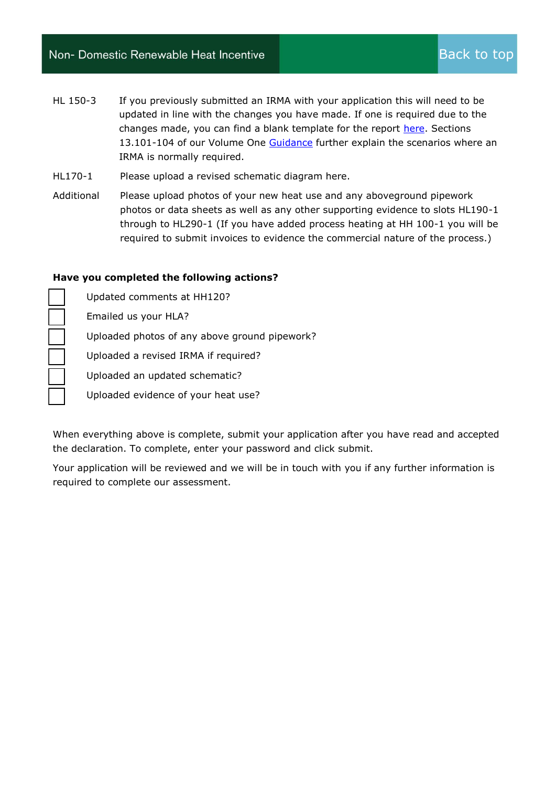### Non- Domestic Renewable Heat Incentive

- HL 150-3 If you previously submitted an IRMA with your application this will need to be updated in line with the changes you have made. If one is required due to the changes made, you can find a blank template for the report [here.](https://www.ofgem.gov.uk/publications-and-updates/non-domestic-renewable-heat-incentive-rhi-independent-report-metering-arrangements-template-pack-version-4-1) Sections 13.101-104 of our Volume One [Guidance](https://www.ofgem.gov.uk/system/files/docs/2016/11/guidance_volume_1_v9_sep_2016.pdf) further explain the scenarios where an IRMA is normally required.
- HL170-1 Please upload a revised schematic diagram here.
- Additional Please upload photos of your new heat use and any aboveground pipework photos or data sheets as well as any other supporting evidence to slots HL190-1 through to HL290-1 (If you have added process heating at HH 100-1 you will be required to submit invoices to evidence the commercial nature of the process.)

#### **Have you completed the following actions?**

| Updated comments at HH120?                    |  |
|-----------------------------------------------|--|
| Emailed us your HLA?                          |  |
| Uploaded photos of any above ground pipework? |  |
| Uploaded a revised IRMA if required?          |  |
| Uploaded an updated schematic?                |  |
| Uploaded evidence of your heat use?           |  |

When everything above is complete, submit your application after you have read and accepted the declaration. To complete, enter your password and click submit.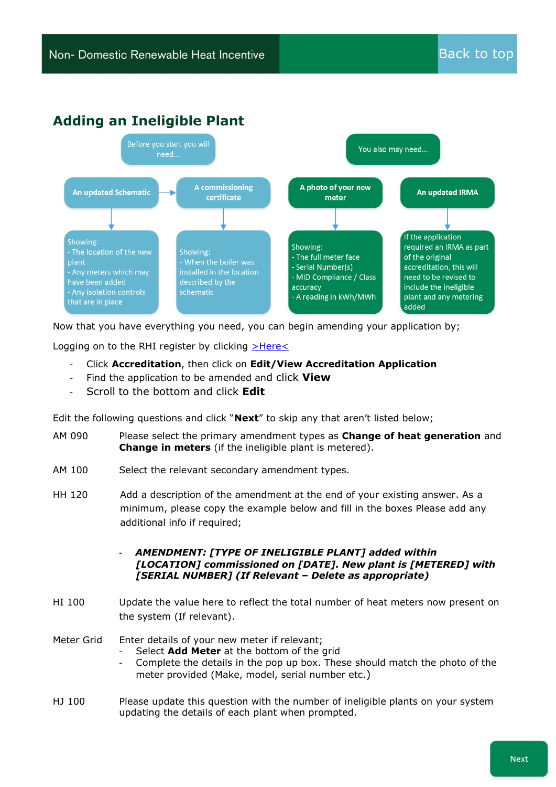### <span id="page-8-0"></span>**Adding an Ineligible Plant**



Now that you have everything you need, you can begin amending your application by;

Logging on to the RHI register by clicking [>Here<](https://rhi.ofgem.gov.uk/)

- Click **Accreditation**, then click on **Edit/View Accreditation Application**
- Find the application to be amended and click **View**
- Scroll to the bottom and click **Edit**

Edit the following questions and click "**Next**" to skip any that aren't listed below;

- AM 090 Please select the primary amendment types as **Change of heat generation** and **Change in meters** (if the ineligible plant is metered).
- AM 100 Select the relevant secondary amendment types.
- HH 120 Add a description of the amendment at the end of your existing answer. As a minimum, please copy the example below and fill in the boxes Please add any additional info if required;
	- **-** *AMENDMENT: [TYPE OF INELIGIBLE PLANT] added within [LOCATION] commissioned on [DATE]. New plant is [METERED] with [SERIAL NUMBER] (If Relevant – Delete as appropriate)*
- HI 100 Update the value here to reflect the total number of heat meters now present on the system (If relevant).
- Meter Grid Enter details of your new meter if relevant;
	- Select **Add Meter** at the bottom of the grid
		- Complete the details in the pop up box. These should match the photo of the meter provided (Make, model, serial number etc.)
- HJ 100 Please update this question with the number of ineligible plants on your system updating the details of each plant when prompted.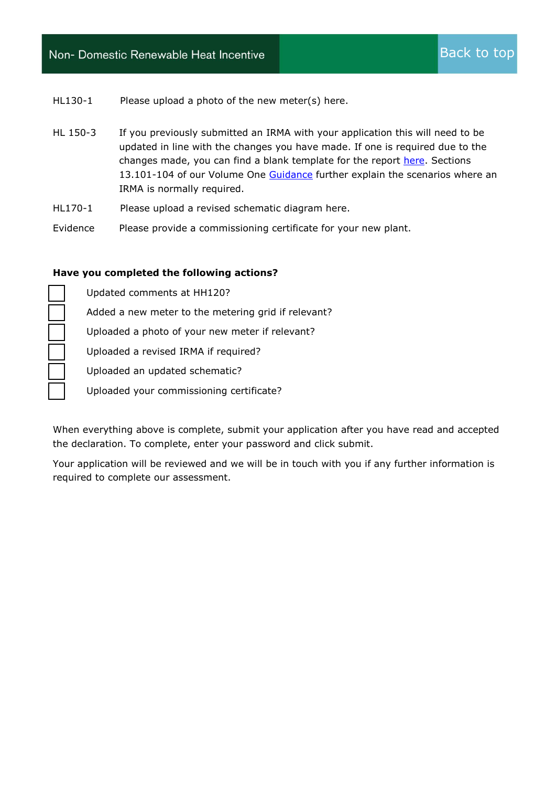### Non- Domestic Renewable Heat Incentive

HL130-1 Please upload a photo of the new meter(s) here.

- HL 150-3 If you previously submitted an IRMA with your application this will need to be updated in line with the changes you have made. If one is required due to the changes made, you can find a blank template for the report [here.](https://www.ofgem.gov.uk/publications-and-updates/non-domestic-renewable-heat-incentive-rhi-independent-report-metering-arrangements-template-pack-version-4-1) Sections 13.101-104 of our Volume One [Guidance](https://www.ofgem.gov.uk/system/files/docs/2016/11/guidance_volume_1_v9_sep_2016.pdf) further explain the scenarios where an IRMA is normally required.
- HL170-1 Please upload a revised schematic diagram here.
- Evidence Please provide a commissioning certificate for your new plant.

#### **Have you completed the following actions?**

☒ Updated comments at HH120? Added a new meter to the metering grid if relevant? Uploaded a photo of your new meter if relevant? ☒ Uploaded a revised IRMA if required? ☒ Uploaded an updated schematic? ☒ Uploaded your commissioning certificate?

When everything above is complete, submit your application after you have read and accepted the declaration. To complete, enter your password and click submit.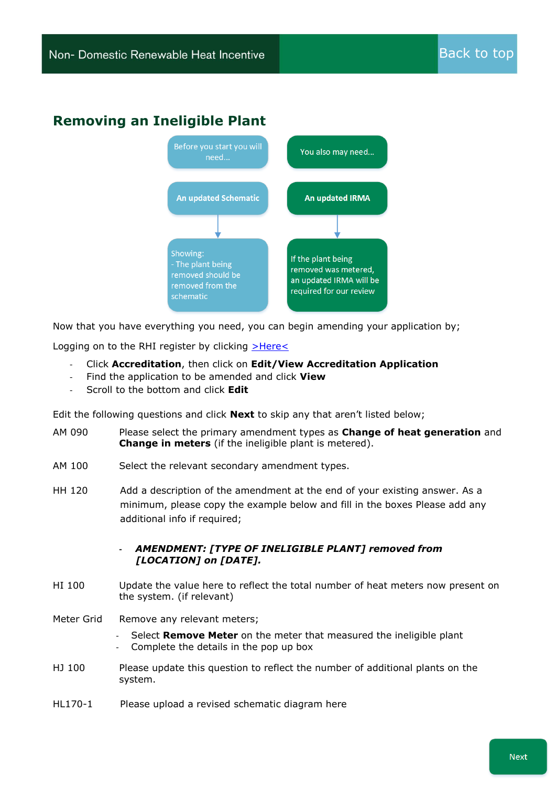### <span id="page-10-0"></span>**Removing an Ineligible Plant**



Now that you have everything you need, you can begin amending your application by;

Logging on to the RHI register by clicking  $\geq$ Here $\leq$ 

- Click **Accreditation**, then click on **Edit/View Accreditation Application**
- Find the application to be amended and click **View**
- Scroll to the bottom and click **Edit**

Edit the following questions and click **Next** to skip any that aren't listed below;

- AM 090 Please select the primary amendment types as **Change of heat generation** and **Change in meters** (if the ineligible plant is metered).
- AM 100 Select the relevant secondary amendment types.
- HH 120 Add a description of the amendment at the end of your existing answer. As a minimum, please copy the example below and fill in the boxes Please add any additional info if required;

**-** *AMENDMENT: [TYPE OF INELIGIBLE PLANT] removed from [LOCATION] on [DATE].*

- HI 100 Update the value here to reflect the total number of heat meters now present on the system. (if relevant)
- Meter Grid Remove any relevant meters;
	- Select **Remove Meter** on the meter that measured the ineligible plant
	- Complete the details in the pop up box
- HJ 100 Please update this question to reflect the number of additional plants on the system.
- HL170-1 Please upload a revised schematic diagram here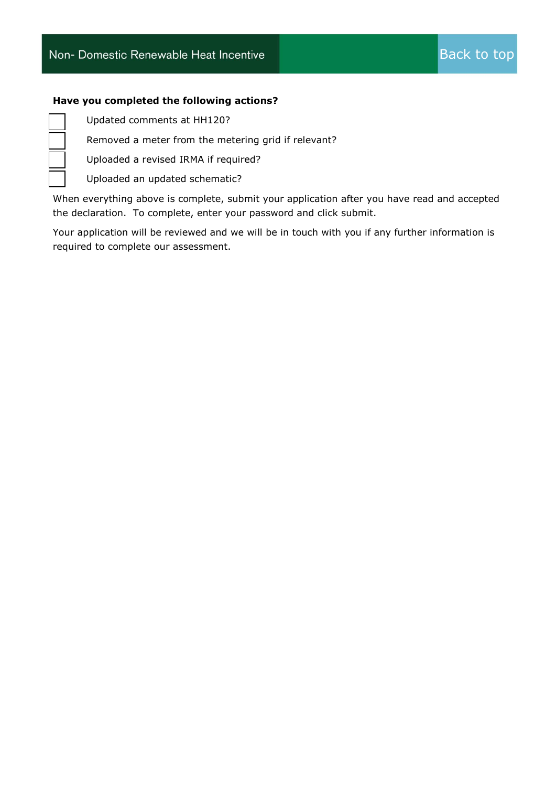#### **Have you completed the following actions?**

☒ Updated comments at HH120?

☒ Removed a meter from the metering grid if relevant?

☒ Uploaded a revised IRMA if required?

☒ Uploaded an updated schematic?

When everything above is complete, submit your application after you have read and accepted the declaration. To complete, enter your password and click submit.